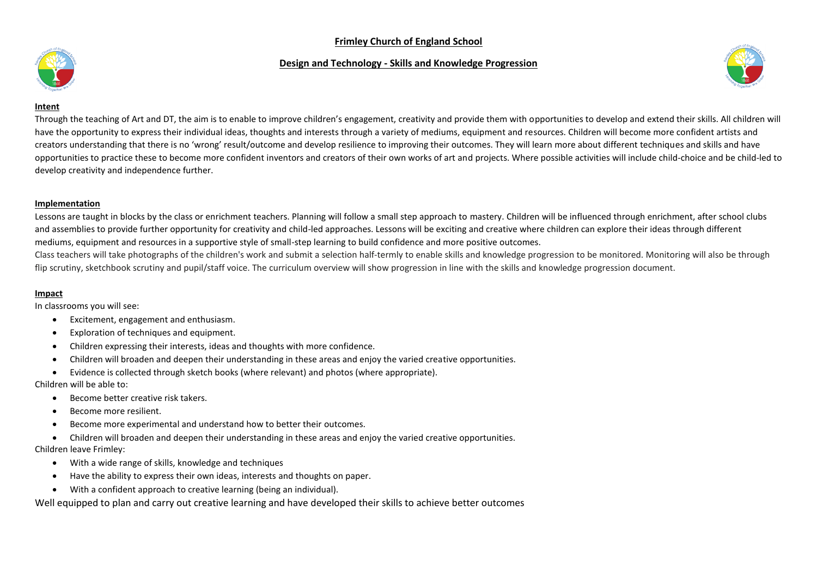## **Frimley Church of England School**

### **Design and Technology - Skills and Knowledge Progression**





#### **Intent**

Through the teaching of Art and DT, the aim is to enable to improve children's engagement, creativity and provide them with opportunities to develop and extend their skills. All children will have the opportunity to express their individual ideas, thoughts and interests through a variety of mediums, equipment and resources. Children will become more confident artists and creators understanding that there is no 'wrong' result/outcome and develop resilience to improving their outcomes. They will learn more about different techniques and skills and have opportunities to practice these to become more confident inventors and creators of their own works of art and projects. Where possible activities will include child-choice and be child-led to develop creativity and independence further.

### **Implementation**

Lessons are taught in blocks by the class or enrichment teachers. Planning will follow a small step approach to mastery. Children will be influenced through enrichment, after school clubs and assemblies to provide further opportunity for creativity and child-led approaches. Lessons will be exciting and creative where children can explore their ideas through different mediums, equipment and resources in a supportive style of small-step learning to build confidence and more positive outcomes.

Class teachers will take photographs of the children's work and submit a selection half-termly to enable skills and knowledge progression to be monitored. Monitoring will also be through flip scrutiny, sketchbook scrutiny and pupil/staff voice. The curriculum overview will show progression in line with the skills and knowledge progression document.

### **Impact**

In classrooms you will see:

- Excitement, engagement and enthusiasm.
- Exploration of techniques and equipment.
- Children expressing their interests, ideas and thoughts with more confidence.
- Children will broaden and deepen their understanding in these areas and enjoy the varied creative opportunities.
- Evidence is collected through sketch books (where relevant) and photos (where appropriate).

Children will be able to:

- Become better creative risk takers.
- Become more resilient.
- Become more experimental and understand how to better their outcomes.
- Children will broaden and deepen their understanding in these areas and enjoy the varied creative opportunities.

### Children leave Frimley:

- With a wide range of skills, knowledge and techniques
- Have the ability to express their own ideas, interests and thoughts on paper.
- With a confident approach to creative learning (being an individual).

Well equipped to plan and carry out creative learning and have developed their skills to achieve better outcomes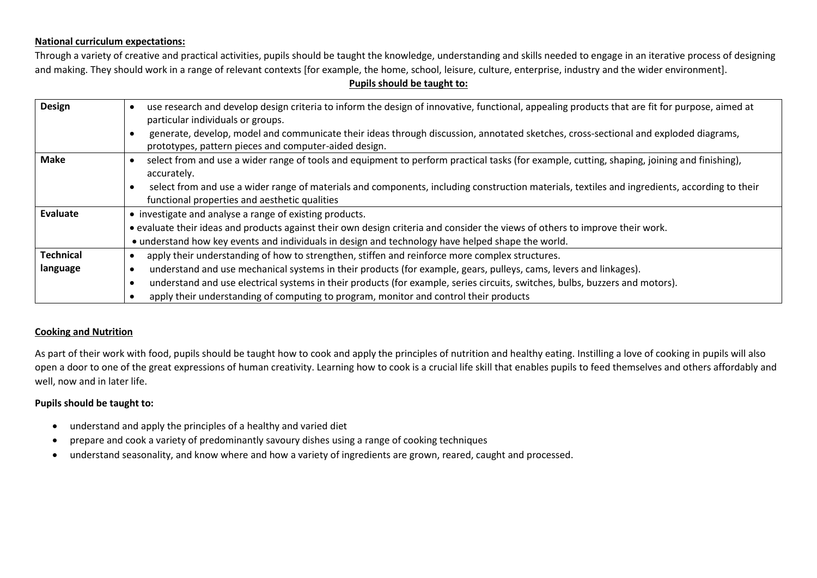## **National curriculum expectations:**

Through a variety of creative and practical activities, pupils should be taught the knowledge, understanding and skills needed to engage in an iterative process of designing and making. They should work in a range of relevant contexts [for example, the home, school, leisure, culture, enterprise, industry and the wider environment].

### **Pupils should be taught to:**

| Design           | use research and develop design criteria to inform the design of innovative, functional, appealing products that are fit for purpose, aimed at<br>particular individuals or groups.            |  |  |  |
|------------------|------------------------------------------------------------------------------------------------------------------------------------------------------------------------------------------------|--|--|--|
|                  | generate, develop, model and communicate their ideas through discussion, annotated sketches, cross-sectional and exploded diagrams,<br>prototypes, pattern pieces and computer-aided design.   |  |  |  |
| Make             | select from and use a wider range of tools and equipment to perform practical tasks (for example, cutting, shaping, joining and finishing),<br>accurately.                                     |  |  |  |
|                  | select from and use a wider range of materials and components, including construction materials, textiles and ingredients, according to their<br>functional properties and aesthetic qualities |  |  |  |
| Evaluate         | • investigate and analyse a range of existing products.                                                                                                                                        |  |  |  |
|                  | • evaluate their ideas and products against their own design criteria and consider the views of others to improve their work.                                                                  |  |  |  |
|                  | • understand how key events and individuals in design and technology have helped shape the world.                                                                                              |  |  |  |
| <b>Technical</b> | apply their understanding of how to strengthen, stiffen and reinforce more complex structures.                                                                                                 |  |  |  |
| language         | understand and use mechanical systems in their products (for example, gears, pulleys, cams, levers and linkages).                                                                              |  |  |  |
|                  | understand and use electrical systems in their products (for example, series circuits, switches, bulbs, buzzers and motors).                                                                   |  |  |  |
|                  | apply their understanding of computing to program, monitor and control their products                                                                                                          |  |  |  |

## **Cooking and Nutrition**

As part of their work with food, pupils should be taught how to cook and apply the principles of nutrition and healthy eating. Instilling a love of cooking in pupils will also open a door to one of the great expressions of human creativity. Learning how to cook is a crucial life skill that enables pupils to feed themselves and others affordably and well, now and in later life.

## **Pupils should be taught to:**

- understand and apply the principles of a healthy and varied diet
- prepare and cook a variety of predominantly savoury dishes using a range of cooking techniques
- understand seasonality, and know where and how a variety of ingredients are grown, reared, caught and processed.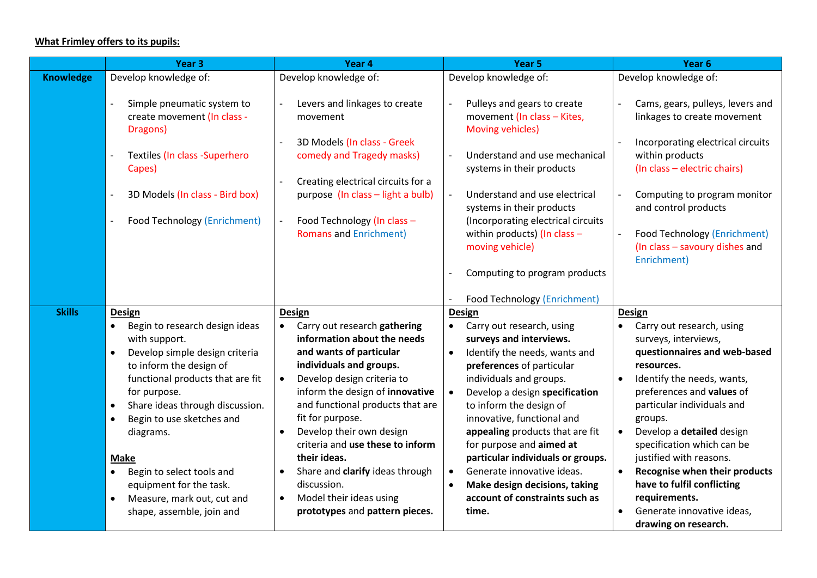# **What Frimley offers to its pupils:**

|                  | Year <sub>3</sub>                                                     | Year 4                                                                   | Year 5                                                                                  | Year 6                                                                                               |
|------------------|-----------------------------------------------------------------------|--------------------------------------------------------------------------|-----------------------------------------------------------------------------------------|------------------------------------------------------------------------------------------------------|
| <b>Knowledge</b> | Develop knowledge of:                                                 | Develop knowledge of:                                                    | Develop knowledge of:                                                                   | Develop knowledge of:                                                                                |
|                  | Simple pneumatic system to<br>create movement (In class -<br>Dragons) | Levers and linkages to create<br>movement<br>3D Models (In class - Greek | Pulleys and gears to create<br>movement (In class - Kites,<br>Moving vehicles)          | Cams, gears, pulleys, levers and<br>linkages to create movement<br>Incorporating electrical circuits |
|                  | Textiles (In class -Superhero<br>Capes)                               | comedy and Tragedy masks)<br>Creating electrical circuits for a          | Understand and use mechanical<br>systems in their products                              | within products<br>(In class - electric chairs)                                                      |
|                  | 3D Models (In class - Bird box)                                       | purpose (In class - light a bulb)                                        | Understand and use electrical<br>systems in their products                              | Computing to program monitor<br>and control products                                                 |
|                  | <b>Food Technology (Enrichment)</b>                                   | Food Technology (In class -<br><b>Romans and Enrichment)</b>             | (Incorporating electrical circuits<br>within products) (In class $-$<br>moving vehicle) | <b>Food Technology (Enrichment)</b><br>(In class - savoury dishes and<br>Enrichment)                 |
|                  |                                                                       |                                                                          | Computing to program products                                                           |                                                                                                      |
|                  |                                                                       |                                                                          | <b>Food Technology (Enrichment)</b>                                                     |                                                                                                      |
| <b>Skills</b>    | <b>Design</b>                                                         | <b>Design</b>                                                            | <b>Design</b>                                                                           | <b>Design</b>                                                                                        |
|                  | Begin to research design ideas<br>$\bullet$                           | Carry out research gathering                                             | Carry out research, using                                                               | Carry out research, using                                                                            |
|                  | with support.                                                         | information about the needs                                              | surveys and interviews.                                                                 | surveys, interviews,                                                                                 |
|                  | Develop simple design criteria<br>$\bullet$                           | and wants of particular                                                  | Identify the needs, wants and<br>$\bullet$                                              | questionnaires and web-based                                                                         |
|                  | to inform the design of                                               | individuals and groups.                                                  | preferences of particular                                                               | resources.                                                                                           |
|                  | functional products that are fit                                      | Develop design criteria to                                               | individuals and groups.                                                                 | Identify the needs, wants,                                                                           |
|                  | for purpose.                                                          | inform the design of innovative                                          | Develop a design specification<br>$\bullet$                                             | preferences and values of                                                                            |
|                  | Share ideas through discussion.<br>$\bullet$                          | and functional products that are                                         | to inform the design of                                                                 | particular individuals and                                                                           |
|                  | Begin to use sketches and<br>$\bullet$                                | fit for purpose.                                                         | innovative, functional and                                                              | groups.                                                                                              |
|                  | diagrams.                                                             | Develop their own design<br>criteria and use these to inform             | appealing products that are fit<br>for purpose and aimed at                             | Develop a detailed design<br>specification which can be                                              |
|                  | <b>Make</b>                                                           | their ideas.                                                             | particular individuals or groups.                                                       | justified with reasons.                                                                              |
|                  | Begin to select tools and<br>$\bullet$                                | Share and clarify ideas through                                          | Generate innovative ideas.<br>$\bullet$                                                 | Recognise when their products                                                                        |
|                  | equipment for the task.                                               | discussion.                                                              | Make design decisions, taking<br>$\bullet$                                              | have to fulfil conflicting                                                                           |
|                  | Measure, mark out, cut and<br>$\bullet$                               | Model their ideas using                                                  | account of constraints such as                                                          | requirements.                                                                                        |
|                  | shape, assemble, join and                                             | prototypes and pattern pieces.                                           | time.                                                                                   | Generate innovative ideas,                                                                           |
|                  |                                                                       |                                                                          |                                                                                         | drawing on research.                                                                                 |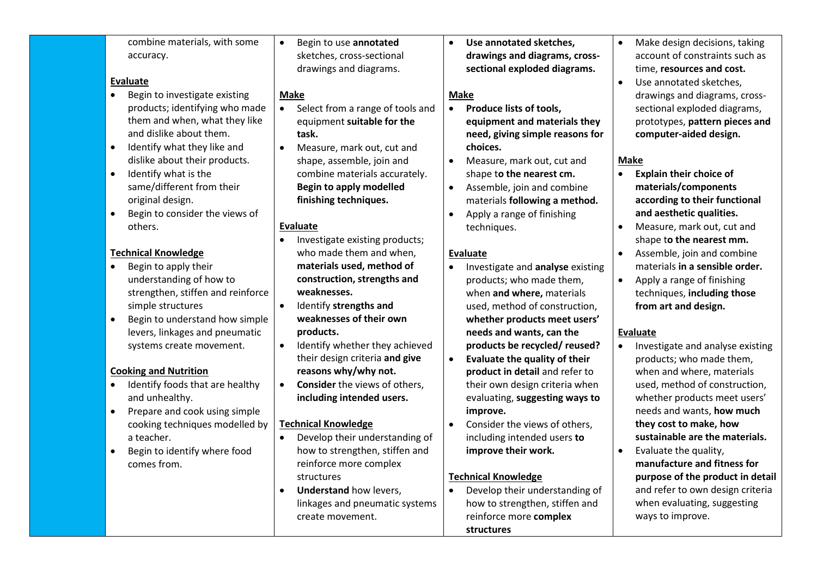| combine materials, with some<br>Begin to use annotated<br>Use annotated sketches,<br>$\bullet$<br>sketches, cross-sectional<br>drawings and diagrams, cross-<br>accuracy. | Make design decisions, taking<br>$\bullet$<br>account of constraints such as |
|---------------------------------------------------------------------------------------------------------------------------------------------------------------------------|------------------------------------------------------------------------------|
| sectional exploded diagrams.<br>drawings and diagrams.                                                                                                                    | time, resources and cost.                                                    |
| <b>Evaluate</b>                                                                                                                                                           | Use annotated sketches,<br>$\bullet$                                         |
| Begin to investigate existing<br>$\bullet$<br>Make<br><b>Make</b>                                                                                                         | drawings and diagrams, cross-                                                |
| products; identifying who made<br>Select from a range of tools and<br>Produce lists of tools,<br>$\bullet$<br>$\bullet$                                                   | sectional exploded diagrams,                                                 |
| them and when, what they like<br>equipment suitable for the<br>equipment and materials they                                                                               | prototypes, pattern pieces and                                               |
| and dislike about them.<br>need, giving simple reasons for<br>task.                                                                                                       | computer-aided design.                                                       |
| Identify what they like and<br>choices.<br>$\bullet$<br>Measure, mark out, cut and<br>$\bullet$                                                                           |                                                                              |
| dislike about their products.<br>shape, assemble, join and<br>Measure, mark out, cut and                                                                                  | <b>Make</b>                                                                  |
| Identify what is the<br>combine materials accurately.<br>shape to the nearest cm.<br>$\bullet$                                                                            | <b>Explain their choice of</b><br>$\bullet$                                  |
| same/different from their<br><b>Begin to apply modelled</b><br>Assemble, join and combine                                                                                 | materials/components                                                         |
| finishing techniques.<br>original design.<br>materials following a method.                                                                                                | according to their functional                                                |
| Begin to consider the views of<br>Apply a range of finishing                                                                                                              | and aesthetic qualities.                                                     |
| others.<br><b>Evaluate</b><br>techniques.                                                                                                                                 | Measure, mark out, cut and                                                   |
| Investigate existing products;                                                                                                                                            | shape to the nearest mm.                                                     |
| who made them and when,<br><b>Technical Knowledge</b><br><b>Evaluate</b>                                                                                                  | Assemble, join and combine                                                   |
| materials used, method of<br>Begin to apply their<br>Investigate and analyse existing                                                                                     | materials in a sensible order.                                               |
| construction, strengths and<br>understanding of how to<br>products; who made them,                                                                                        | Apply a range of finishing                                                   |
| weaknesses.<br>strengthen, stiffen and reinforce<br>when and where, materials                                                                                             | techniques, including those                                                  |
| Identify strengths and<br>simple structures<br>$\bullet$<br>used, method of construction,                                                                                 | from art and design.                                                         |
| weaknesses of their own<br>Begin to understand how simple<br>whether products meet users'                                                                                 |                                                                              |
| levers, linkages and pneumatic<br>products.<br>needs and wants, can the                                                                                                   | <b>Evaluate</b>                                                              |
| Identify whether they achieved<br>$\bullet$<br>products be recycled/ reused?<br>systems create movement.                                                                  | Investigate and analyse existing                                             |
| their design criteria and give<br>Evaluate the quality of their<br>$\bullet$                                                                                              | products; who made them,                                                     |
| <b>Cooking and Nutrition</b><br>reasons why/why not.<br>product in detail and refer to                                                                                    | when and where, materials                                                    |
| Identify foods that are healthy<br>Consider the views of others,<br>their own design criteria when<br>$\bullet$                                                           | used, method of construction,                                                |
| and unhealthy.<br>including intended users.<br>evaluating, suggesting ways to                                                                                             | whether products meet users'                                                 |
| Prepare and cook using simple<br>improve.<br>$\bullet$                                                                                                                    | needs and wants, how much                                                    |
| cooking techniques modelled by<br><b>Technical Knowledge</b><br>Consider the views of others,                                                                             | they cost to make, how                                                       |
| Develop their understanding of<br>a teacher.<br>including intended users to<br>$\bullet$                                                                                  | sustainable are the materials.                                               |
| how to strengthen, stiffen and<br>improve their work.<br>Begin to identify where food                                                                                     | Evaluate the quality,<br>$\bullet$                                           |
| reinforce more complex<br>comes from.                                                                                                                                     | manufacture and fitness for                                                  |
| <b>Technical Knowledge</b><br>structures                                                                                                                                  | purpose of the product in detail                                             |
| Develop their understanding of<br><b>Understand how levers,</b><br>$\bullet$                                                                                              | and refer to own design criteria                                             |
| how to strengthen, stiffen and<br>linkages and pneumatic systems                                                                                                          | when evaluating, suggesting                                                  |
| reinforce more complex<br>create movement.                                                                                                                                | ways to improve.                                                             |
| structures                                                                                                                                                                |                                                                              |